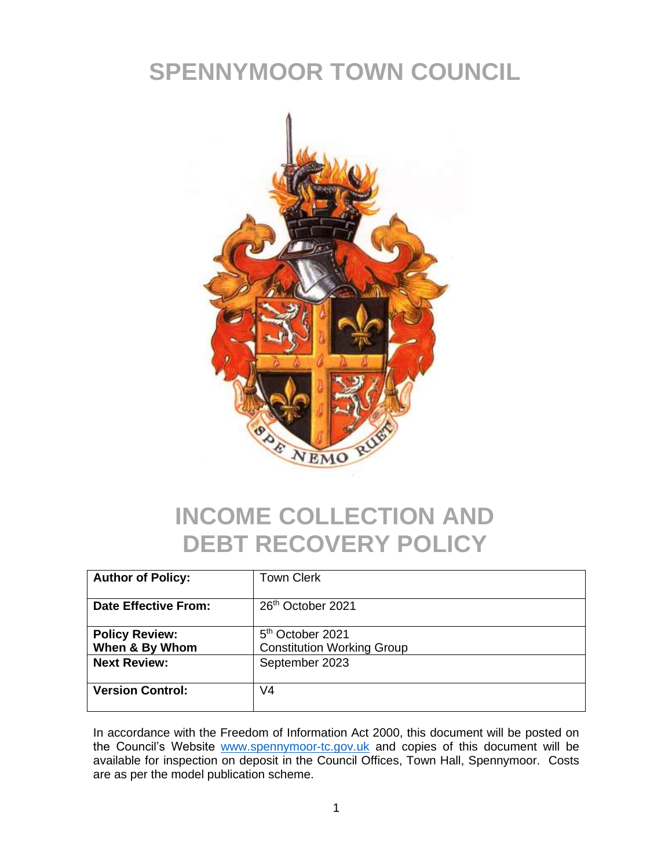# **SPENNYMOOR TOWN COUNCIL**



## **INCOME COLLECTION AND DEBT RECOVERY POLICY**

| <b>Author of Policy:</b>                | <b>Town Clerk</b>                                                 |
|-----------------------------------------|-------------------------------------------------------------------|
| <b>Date Effective From:</b>             | 26 <sup>th</sup> October 2021                                     |
| <b>Policy Review:</b><br>When & By Whom | 5 <sup>th</sup> October 2021<br><b>Constitution Working Group</b> |
| <b>Next Review:</b>                     | September 2023                                                    |
| <b>Version Control:</b>                 | V4                                                                |

In accordance with the Freedom of Information Act 2000, this document will be posted on the Council's Website [www.spennymoor-tc.gov.uk](http://www.spennymoor-tc.gov.uk/) and copies of this document will be available for inspection on deposit in the Council Offices, Town Hall, Spennymoor. Costs are as per the model publication scheme.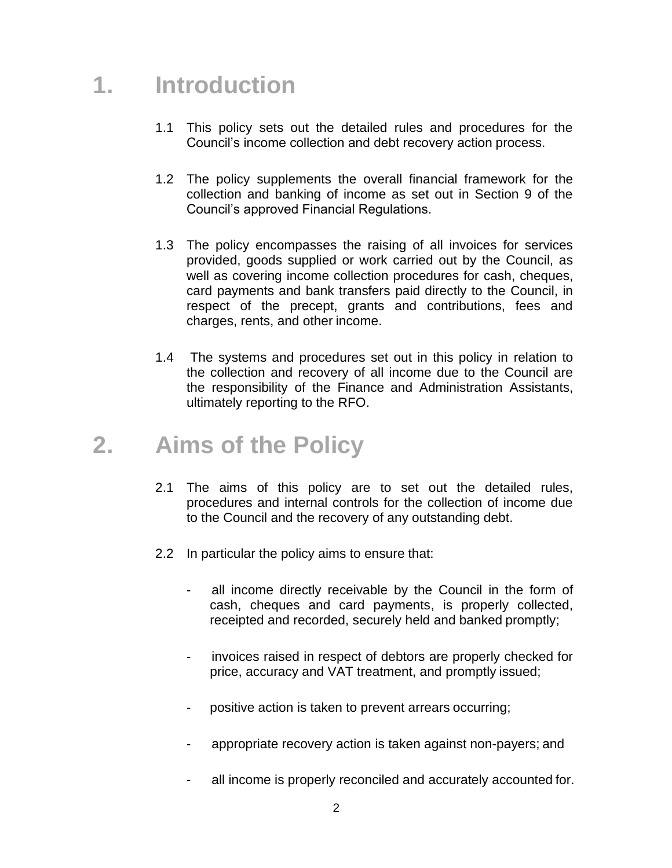### **1. Introduction**

- 1.1 This policy sets out the detailed rules and procedures for the Council's income collection and debt recovery action process.
- 1.2 The policy supplements the overall financial framework for the collection and banking of income as set out in Section 9 of the Council's approved Financial Regulations.
- 1.3 The policy encompasses the raising of all invoices for services provided, goods supplied or work carried out by the Council, as well as covering income collection procedures for cash, cheques, card payments and bank transfers paid directly to the Council, in respect of the precept, grants and contributions, fees and charges, rents, and other income.
- 1.4 The systems and procedures set out in this policy in relation to the collection and recovery of all income due to the Council are the responsibility of the Finance and Administration Assistants, ultimately reporting to the RFO.

### **2. Aims of the Policy**

- 2.1 The aims of this policy are to set out the detailed rules, procedures and internal controls for the collection of income due to the Council and the recovery of any outstanding debt.
- 2.2 In particular the policy aims to ensure that:
	- all income directly receivable by the Council in the form of cash, cheques and card payments, is properly collected, receipted and recorded, securely held and banked promptly;
	- invoices raised in respect of debtors are properly checked for price, accuracy and VAT treatment, and promptly issued;
	- positive action is taken to prevent arrears occurring;
	- appropriate recovery action is taken against non-payers; and
	- all income is properly reconciled and accurately accounted for.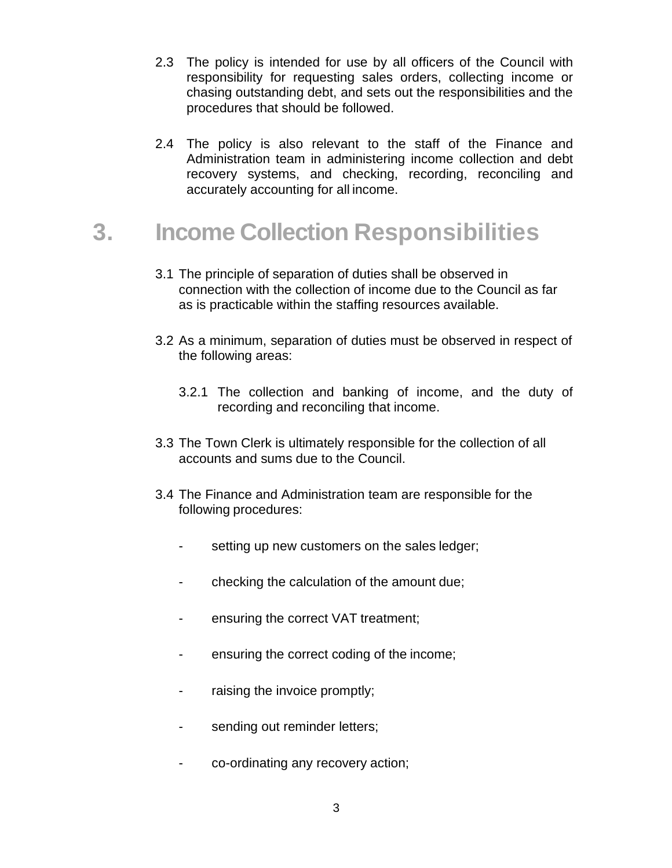- 2.3 The policy is intended for use by all officers of the Council with responsibility for requesting sales orders, collecting income or chasing outstanding debt, and sets out the responsibilities and the procedures that should be followed.
- 2.4 The policy is also relevant to the staff of the Finance and Administration team in administering income collection and debt recovery systems, and checking, recording, reconciling and accurately accounting for all income.

### **3. Income Collection Responsibilities**

- 3.1 The principle of separation of duties shall be observed in connection with the collection of income due to the Council as far as is practicable within the staffing resources available.
- 3.2 As a minimum, separation of duties must be observed in respect of the following areas:
	- 3.2.1 The collection and banking of income, and the duty of recording and reconciling that income.
- 3.3 The Town Clerk is ultimately responsible for the collection of all accounts and sums due to the Council.
- 3.4 The Finance and Administration team are responsible for the following procedures:
	- setting up new customers on the sales ledger;
	- checking the calculation of the amount due;
	- ensuring the correct VAT treatment;
	- ensuring the correct coding of the income;
	- raising the invoice promptly;
	- sending out reminder letters;
	- co-ordinating any recovery action;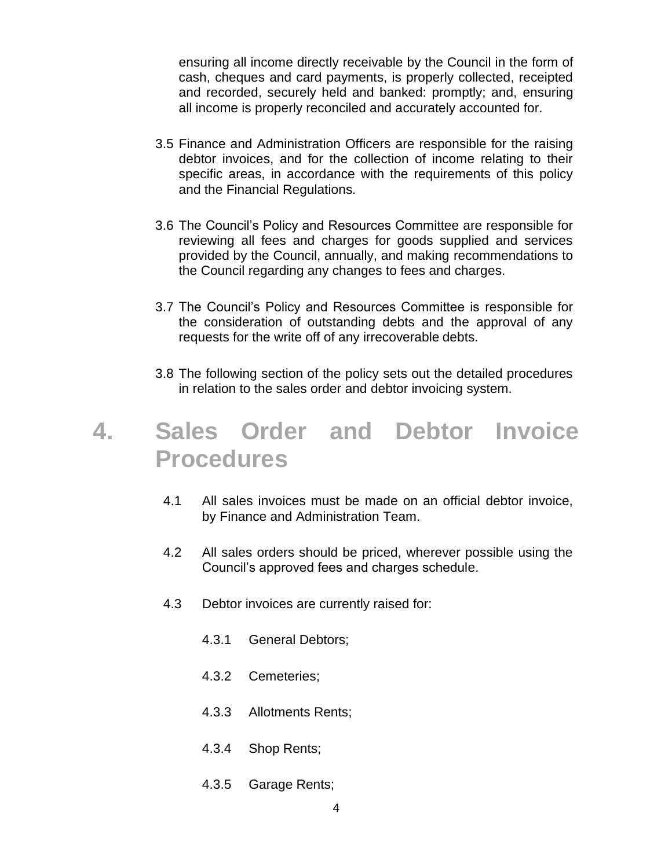ensuring all income directly receivable by the Council in the form of cash, cheques and card payments, is properly collected, receipted and recorded, securely held and banked: promptly; and, ensuring all income is properly reconciled and accurately accounted for.

- 3.5 Finance and Administration Officers are responsible for the raising debtor invoices, and for the collection of income relating to their specific areas, in accordance with the requirements of this policy and the Financial Regulations.
- 3.6 The Council's Policy and Resources Committee are responsible for reviewing all fees and charges for goods supplied and services provided by the Council, annually, and making recommendations to the Council regarding any changes to fees and charges.
- 3.7 The Council's Policy and Resources Committee is responsible for the consideration of outstanding debts and the approval of any requests for the write off of any irrecoverable debts.
- 3.8 The following section of the policy sets out the detailed procedures in relation to the sales order and debtor invoicing system.

### **4. Sales Order and Debtor Invoice Procedures**

- 4.1 All sales invoices must be made on an official debtor invoice, by Finance and Administration Team.
- 4.2 All sales orders should be priced, wherever possible using the Council's approved fees and charges schedule.
- 4.3 Debtor invoices are currently raised for:
	- 4.3.1 General Debtors;
	- 4.3.2 Cemeteries;
	- 4.3.3 Allotments Rents;
	- 4.3.4 Shop Rents;
	- 4.3.5 Garage Rents;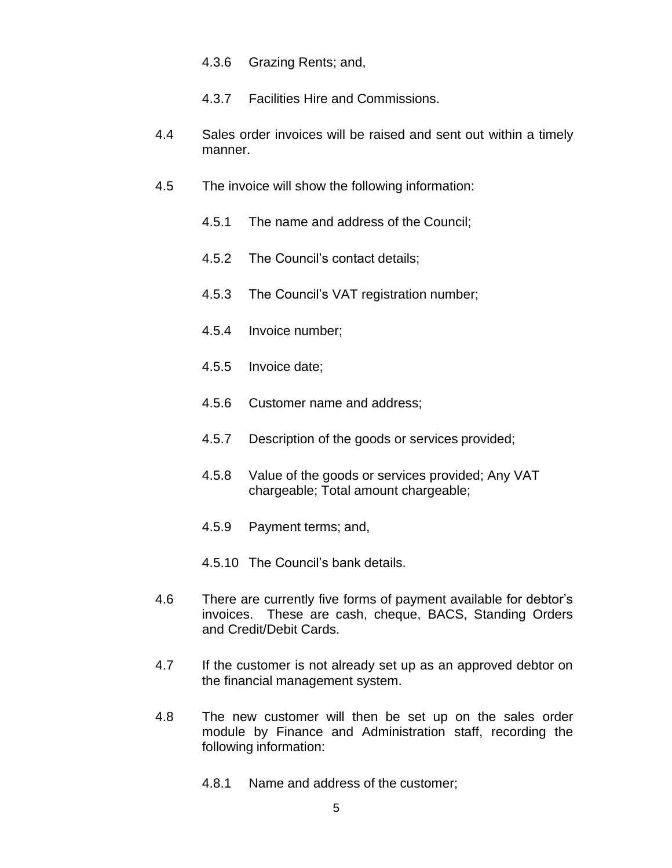- 4.3.6 Grazing Rents; and,
- 4.3.7 Facilities Hire and Commissions.
- 4.4 Sales order invoices will be raised and sent out within a timely manner.
- 4.5 The invoice will show the following information:
	- 4.5.1 The name and address of the Council;
	- 4.5.2 The Council's contact details;
	- 4.5.3 The Council's VAT registration number;
	- 4.5.4 Invoice number;
	- 4.5.5 Invoice date;
	- 4.5.6 Customer name and address;
	- 4.5.7 Description of the goods or services provided;
	- 4.5.8 Value of the goods or services provided; Any VAT chargeable; Total amount chargeable;
	- 4.5.9 Payment terms; and,
	- 4.5.10 The Council's bank details.
- 4.6 There are currently five forms of payment available for debtor's invoices. These are cash, cheque, BACS, Standing Orders and Credit/Debit Cards.
- 4.7 If the customer is not already set up as an approved debtor on the financial management system.
- 4.8 The new customer will then be set up on the sales order module by Finance and Administration staff, recording the following information:
	- 4.8.1 Name and address of the customer;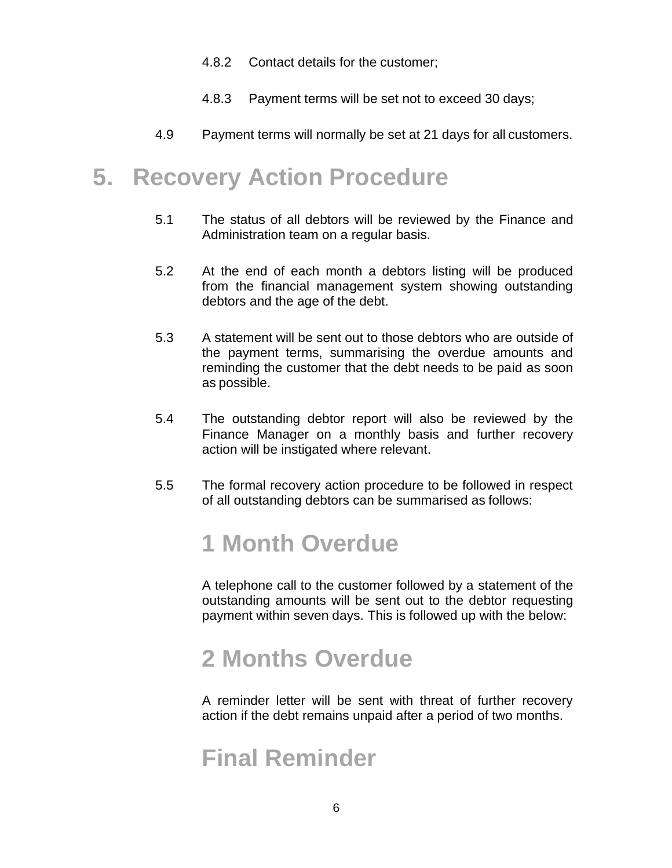- 4.8.2 Contact details for the customer;
- 4.8.3 Payment terms will be set not to exceed 30 days;
- 4.9 Payment terms will normally be set at 21 days for all customers.

### **5. Recovery Action Procedure**

- 5.1 The status of all debtors will be reviewed by the Finance and Administration team on a regular basis.
- 5.2 At the end of each month a debtors listing will be produced from the financial management system showing outstanding debtors and the age of the debt.
- 5.3 A statement will be sent out to those debtors who are outside of the payment terms, summarising the overdue amounts and reminding the customer that the debt needs to be paid as soon as possible.
- 5.4 The outstanding debtor report will also be reviewed by the Finance Manager on a monthly basis and further recovery action will be instigated where relevant.
- 5.5 The formal recovery action procedure to be followed in respect of all outstanding debtors can be summarised as follows:

### **1 Month Overdue**

A telephone call to the customer followed by a statement of the outstanding amounts will be sent out to the debtor requesting payment within seven days. This is followed up with the below:

### **2 Months Overdue**

A reminder letter will be sent with threat of further recovery action if the debt remains unpaid after a period of two months.

### **Final Reminder**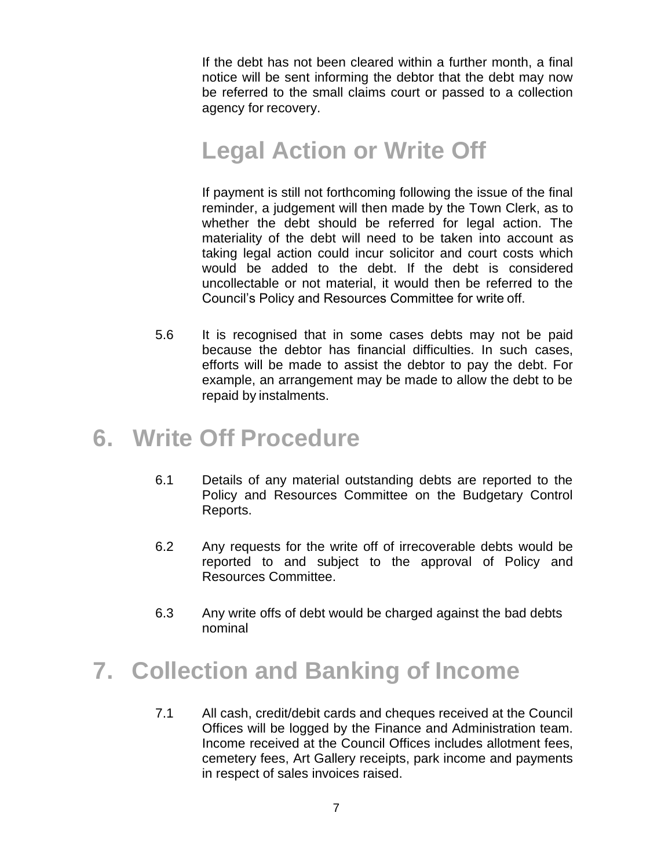If the debt has not been cleared within a further month, a final notice will be sent informing the debtor that the debt may now be referred to the small claims court or passed to a collection agency for recovery.

### **Legal Action or Write Off**

If payment is still not forthcoming following the issue of the final reminder, a judgement will then made by the Town Clerk, as to whether the debt should be referred for legal action. The materiality of the debt will need to be taken into account as taking legal action could incur solicitor and court costs which would be added to the debt. If the debt is considered uncollectable or not material, it would then be referred to the Council's Policy and Resources Committee for write off.

5.6 It is recognised that in some cases debts may not be paid because the debtor has financial difficulties. In such cases, efforts will be made to assist the debtor to pay the debt. For example, an arrangement may be made to allow the debt to be repaid by instalments.

#### **6. Write Off Procedure**

- 6.1 Details of any material outstanding debts are reported to the Policy and Resources Committee on the Budgetary Control Reports.
- 6.2 Any requests for the write off of irrecoverable debts would be reported to and subject to the approval of Policy and Resources Committee.
- 6.3 Any write offs of debt would be charged against the bad debts nominal

### **7. Collection and Banking of Income**

7.1 All cash, credit/debit cards and cheques received at the Council Offices will be logged by the Finance and Administration team. Income received at the Council Offices includes allotment fees, cemetery fees, Art Gallery receipts, park income and payments in respect of sales invoices raised.